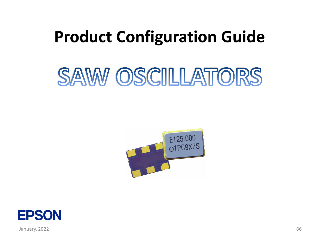## **Product Configuration Guide**

# SAW OSCILLATORS





January, 2022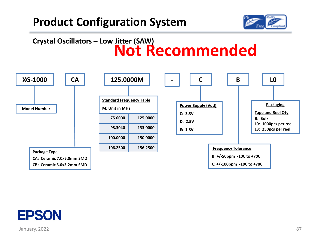

### **Crystal Oscillators – Low Jitter (SAW) Not Recommended**



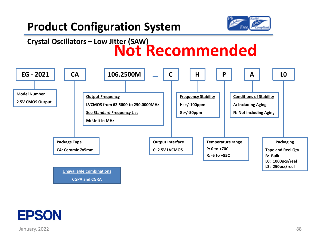

### **Crystal Oscillators – Low Jitter (SAW) Not Recommended**



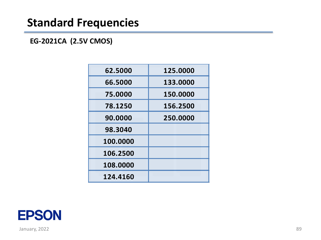**EG-2021CA (2.5V CMOS)**

| 62.5000  | 125.0000 |
|----------|----------|
| 66.5000  | 133.0000 |
| 75.0000  | 150.0000 |
| 78.1250  | 156.2500 |
| 90.0000  | 250.0000 |
| 98.3040  |          |
| 100.0000 |          |
| 106.2500 |          |
| 108.0000 |          |
| 124.4160 |          |

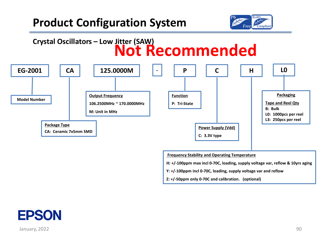





**Frequency Stability and Operating Temperature**

**H: +/-100ppm max incl 0-70C, loading, supply voltage var, reflow & 10yrs aging**

**Y: +/-100ppm incl 0-70C, loading, supply voltage var and reflow**

**Z: +/-50ppm only 0-70C and calibration. (optional)**

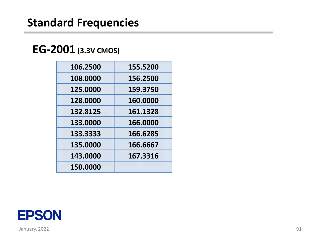### **EG-2001 (3.3V CMOS)**

| 106.2500 | 155.5200 |
|----------|----------|
| 108.0000 | 156.2500 |
| 125.0000 | 159.3750 |
| 128.0000 | 160.0000 |
| 132.8125 | 161.1328 |
| 133.0000 | 166.0000 |
| 133.3333 | 166.6285 |
| 135.0000 | 166.6667 |
| 143.0000 | 167.3316 |
| 150.0000 |          |

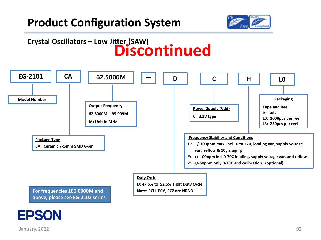

### **Crystal Oscillators – Low Jitter (SAW) Discontinued**



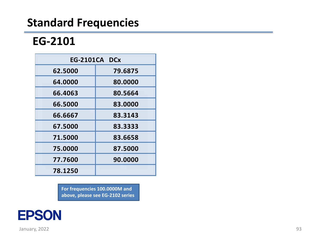### **EG-2101**

| <b>EG-2101CA DCx</b> |         |  |
|----------------------|---------|--|
| 62.5000              | 79.6875 |  |
| 64.0000              | 80.0000 |  |
| 66.4063              | 80.5664 |  |
| 66.5000              | 83.0000 |  |
| 66.6667              | 83.3143 |  |
| 67.5000              | 83.3333 |  |
| 71.5000              | 83.6658 |  |
| 75.0000              | 87.5000 |  |
| 77.7600              | 90.0000 |  |
| 78.1250              |         |  |

**For frequencies 100.0000M and above, please see EG-2102 series**

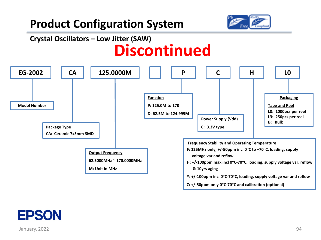

### **Crystal Oscillators – Low Jitter (SAW) Discontinued**



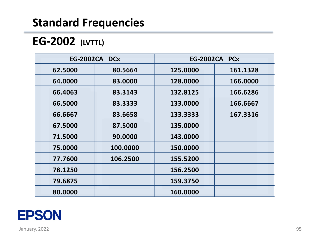### **EG-2002 (LVTTL)**

|         | <b>EG-2002CA DCx</b> |          | <b>EG-2002CA PCx</b> |
|---------|----------------------|----------|----------------------|
| 62.5000 | 80.5664              | 125.0000 | 161.1328             |
| 64.0000 | 83.0000              | 128.0000 | 166.0000             |
| 66.4063 | 83.3143              | 132.8125 | 166.6286             |
| 66.5000 | 83.3333              | 133.0000 | 166.6667             |
| 66.6667 | 83.6658              | 133.3333 | 167.3316             |
| 67.5000 | 87.5000              | 135.0000 |                      |
| 71.5000 | 90.0000              | 143.0000 |                      |
| 75.0000 | 100.0000             | 150.0000 |                      |
| 77.7600 | 106.2500             | 155.5200 |                      |
| 78.1250 |                      | 156.2500 |                      |
| 79.6875 |                      | 159.3750 |                      |
| 80.0000 |                      | 160.0000 |                      |

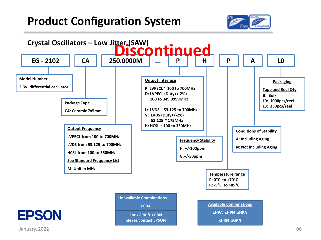

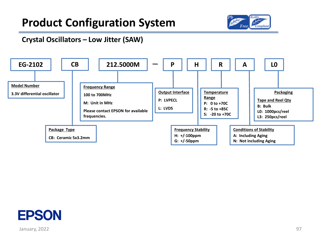

#### **Crystal Oscillators – Low Jitter (SAW)**



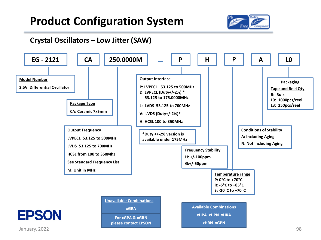

#### **Crystal Oscillators – Low Jitter (SAW)**

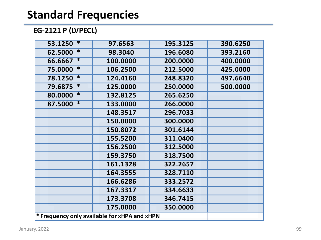#### **EG-2121 P (LVPECL)**

| $\ast$<br>53.1250                            | 97.6563  | 195.3125 | 390.6250 |
|----------------------------------------------|----------|----------|----------|
| $\overline{\ast}$<br>62.5000                 | 98.3040  | 196.6080 | 393.2160 |
| ∗<br>66.6667                                 | 100.0000 | 200.0000 | 400.0000 |
| $\ast$<br>75.0000                            | 106.2500 | 212.5000 | 425.0000 |
| ∗<br>78.1250                                 | 124.4160 | 248.8320 | 497.6640 |
| ∗<br>79.6875                                 | 125.0000 | 250.0000 | 500.0000 |
| ∗<br>80.0000                                 | 132.8125 | 265.6250 |          |
| ∗<br>87.5000                                 | 133.0000 | 266.0000 |          |
|                                              | 148.3517 | 296.7033 |          |
|                                              | 150.0000 | 300.0000 |          |
|                                              | 150.8072 | 301.6144 |          |
|                                              | 155.5200 | 311.0400 |          |
|                                              | 156.2500 | 312.5000 |          |
|                                              | 159.3750 | 318.7500 |          |
|                                              | 161.1328 | 322.2657 |          |
|                                              | 164.3555 | 328.7110 |          |
|                                              | 166.6286 | 333.2572 |          |
|                                              | 167.3317 | 334.6633 |          |
|                                              | 173.3708 | 346.7415 |          |
|                                              | 175.0000 | 350.0000 |          |
| * Frequency only available for xHPA and xHPN |          |          |          |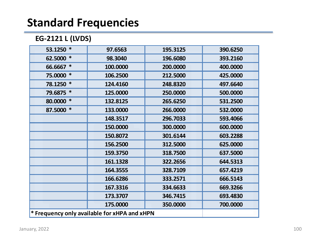#### **EG-2121 L (LVDS)**

| $\ast$<br>53.1250 | 97.6563                                      | 195.3125 | 390.6250 |
|-------------------|----------------------------------------------|----------|----------|
| $\ast$<br>62.5000 | 98.3040                                      | 196.6080 | 393.2160 |
| ∗<br>66.6667      | 100.0000                                     | 200.0000 | 400.0000 |
| ∗<br>75.0000      | 106.2500                                     | 212.5000 | 425.0000 |
| ∗<br>78.1250      | 124.4160                                     | 248.8320 | 497.6640 |
| ∗<br>79.6875      | 125.0000                                     | 250.0000 | 500.0000 |
| ∗<br>80.0000      | 132.8125                                     | 265.6250 | 531.2500 |
| 87.5000 *         | 133.0000                                     | 266.0000 | 532.0000 |
|                   | 148.3517                                     | 296.7033 | 593.4066 |
|                   | 150.0000                                     | 300.0000 | 600.0000 |
|                   | 150.8072                                     | 301.6144 | 603.2288 |
|                   | 156.2500                                     | 312.5000 | 625.0000 |
|                   | 159.3750                                     | 318.7500 | 637.5000 |
|                   | 161.1328                                     | 322.2656 | 644.5313 |
|                   | 164.3555                                     | 328.7109 | 657.4219 |
|                   | 166.6286                                     | 333.2571 | 666.5143 |
|                   | 167.3316                                     | 334.6633 | 669.3266 |
|                   | 173.3707                                     | 346.7415 | 693.4830 |
|                   | 175.0000                                     | 350.0000 | 700.0000 |
|                   | * Frequency only available for xHPA and xHPN |          |          |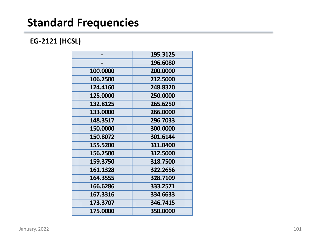#### **EG-2121 (HCSL)**

|          | 195.3125 |
|----------|----------|
|          | 196.6080 |
| 100.0000 | 200.0000 |
| 106.2500 | 212.5000 |
| 124.4160 | 248.8320 |
| 125.0000 | 250.0000 |
| 132.8125 | 265.6250 |
| 133.0000 | 266.0000 |
| 148.3517 | 296.7033 |
| 150.0000 | 300.0000 |
| 150.8072 | 301.6144 |
| 155.5200 | 311.0400 |
| 156.2500 | 312.5000 |
| 159.3750 | 318.7500 |
| 161.1328 | 322.2656 |
| 164.3555 | 328.7109 |
| 166.6286 | 333.2571 |
| 167.3316 | 334.6633 |
| 173.3707 | 346.7415 |
| 175.0000 | 350.0000 |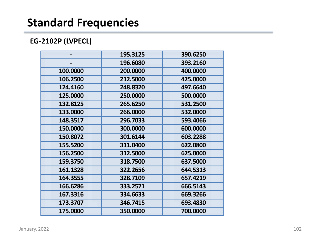#### **EG-2102P (LVPECL)**

|          | 195.3125 | 390.6250 |
|----------|----------|----------|
|          | 196.6080 | 393.2160 |
| 100.0000 | 200.0000 | 400.0000 |
| 106.2500 | 212.5000 | 425.0000 |
| 124.4160 | 248.8320 | 497.6640 |
| 125.0000 | 250.0000 | 500.0000 |
| 132.8125 | 265.6250 | 531.2500 |
| 133.0000 | 266.0000 | 532.0000 |
| 148.3517 | 296.7033 | 593.4066 |
| 150.0000 | 300.0000 | 600.0000 |
| 150.8072 | 301.6144 | 603.2288 |
| 155.5200 | 311.0400 | 622.0800 |
| 156.2500 | 312.5000 | 625.0000 |
| 159.3750 | 318.7500 | 637.5000 |
| 161.1328 | 322.2656 | 644.5313 |
| 164.3555 | 328.7109 | 657.4219 |
| 166.6286 | 333.2571 | 666.5143 |
| 167.3316 | 334.6633 | 669.3266 |
| 173.3707 | 346.7415 | 693.4830 |
| 175.0000 | 350.0000 | 700.0000 |
|          |          |          |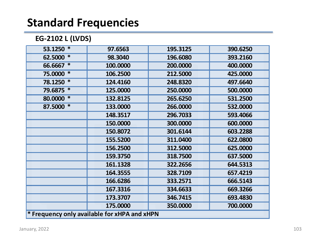#### **EG-2102 L (LVDS)**

| ∗<br>53.1250                                 | 97.6563  | 195.3125 | 390.6250 |
|----------------------------------------------|----------|----------|----------|
| ∗<br>62.5000                                 | 98.3040  | 196.6080 | 393.2160 |
| $\ast$<br>66.6667                            | 100.0000 | 200.0000 | 400.0000 |
| ∗<br>75.0000                                 | 106.2500 | 212.5000 | 425.0000 |
| ∗<br>78.1250                                 | 124.4160 | 248.8320 | 497.6640 |
| ∗<br>79.6875                                 | 125.0000 | 250.0000 | 500.0000 |
| ∗<br>80.0000                                 | 132.8125 | 265.6250 | 531.2500 |
| ∗<br>87.5000                                 | 133.0000 | 266.0000 | 532.0000 |
|                                              | 148.3517 | 296.7033 | 593.4066 |
|                                              | 150.0000 | 300.0000 | 600.0000 |
|                                              | 150.8072 | 301.6144 | 603.2288 |
|                                              | 155.5200 | 311.0400 | 622.0800 |
|                                              | 156.2500 | 312.5000 | 625.0000 |
|                                              | 159.3750 | 318.7500 | 637.5000 |
|                                              | 161.1328 | 322.2656 | 644.5313 |
|                                              | 164.3555 | 328.7109 | 657.4219 |
|                                              | 166.6286 | 333.2571 | 666.5143 |
|                                              | 167.3316 | 334.6633 | 669.3266 |
|                                              | 173.3707 | 346.7415 | 693.4830 |
|                                              | 175.0000 | 350.0000 | 700.0000 |
| * Frequency only available for xHPA and xHPN |          |          |          |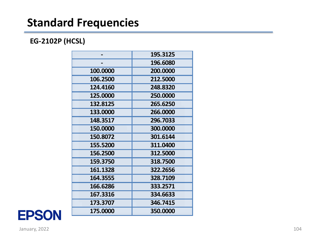#### **EG-2102P (HCSL)**

|          | 195.3125 |
|----------|----------|
|          | 196.6080 |
| 100.0000 | 200.0000 |
| 106.2500 | 212.5000 |
| 124.4160 | 248.8320 |
| 125.0000 | 250.0000 |
| 132.8125 | 265.6250 |
| 133.0000 | 266.0000 |
| 148.3517 | 296.7033 |
| 150.0000 | 300.0000 |
| 150.8072 | 301.6144 |
| 155.5200 | 311.0400 |
| 156.2500 | 312.5000 |
| 159.3750 | 318.7500 |
| 161.1328 | 322.2656 |
| 164.3555 | 328.7109 |
| 166.6286 | 333.2571 |
| 167.3316 | 334.6633 |
| 173.3707 | 346.7415 |
| 175.0000 | 350.0000 |

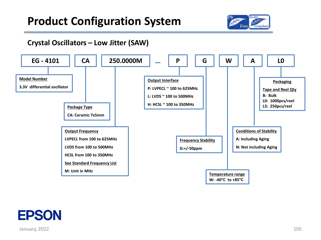

#### **Crystal Oscillators – Low Jitter (SAW)**



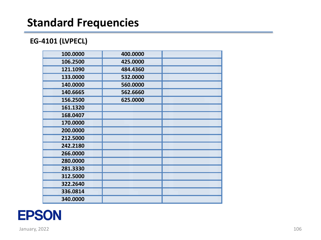#### **EG -4101 (LVPECL)**

| 100.0000 | 400.0000 |  |
|----------|----------|--|
| 106.2500 | 425.0000 |  |
| 121.1090 | 484.4360 |  |
| 133.0000 | 532.0000 |  |
| 140.0000 | 560.0000 |  |
| 140.6665 | 562.6660 |  |
| 156.2500 | 625.0000 |  |
| 161.1320 |          |  |
| 168.0407 |          |  |
| 170.0000 |          |  |
| 200.0000 |          |  |
| 212.5000 |          |  |
| 242.2180 |          |  |
| 266.0000 |          |  |
| 280.0000 |          |  |
| 281.3330 |          |  |
| 312.5000 |          |  |
| 322.2640 |          |  |
| 336.0814 |          |  |
| 340.0000 |          |  |
|          |          |  |

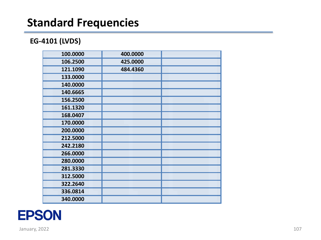#### **EG -4101 (LVDS)**

| 100.0000 | 400.0000 |  |
|----------|----------|--|
| 106.2500 | 425.0000 |  |
| 121.1090 | 484.4360 |  |
| 133.0000 |          |  |
| 140.0000 |          |  |
| 140.6665 |          |  |
| 156.2500 |          |  |
| 161.1320 |          |  |
| 168.0407 |          |  |
| 170.0000 |          |  |
| 200.0000 |          |  |
| 212.5000 |          |  |
| 242.2180 |          |  |
| 266.0000 |          |  |
| 280.0000 |          |  |
| 281.3330 |          |  |
| 312.5000 |          |  |
| 322.2640 |          |  |
| 336.0814 |          |  |
| 340.0000 |          |  |

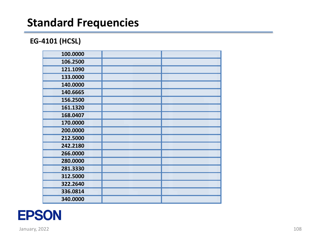#### **EG -4101 (HCSL)**

| 100.0000 |  |
|----------|--|
| 106.2500 |  |
| 121.1090 |  |
| 133.0000 |  |
| 140.0000 |  |
| 140.6665 |  |
| 156.2500 |  |
| 161.1320 |  |
| 168.0407 |  |
| 170.0000 |  |
| 200.0000 |  |
| 212.5000 |  |
| 242.2180 |  |
| 266.0000 |  |
| 280.0000 |  |
| 281.3330 |  |
| 312.5000 |  |
| 322.2640 |  |
| 336.0814 |  |
| 340.0000 |  |
|          |  |

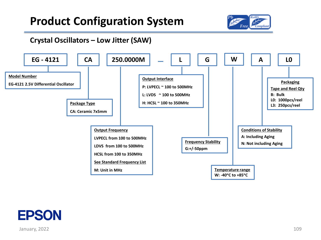

#### **Crystal Oscillators – Low Jitter (SAW)**



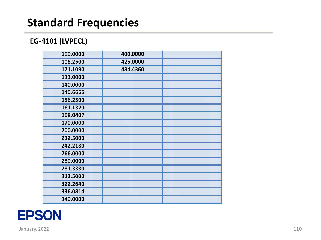#### **EG -4101 (LVPECL)**

| 100.0000 | 400.0000 |  |
|----------|----------|--|
| 106.2500 | 425.0000 |  |
| 121.1090 | 484.4360 |  |
| 133.0000 |          |  |
| 140.0000 |          |  |
| 140.6665 |          |  |
| 156.2500 |          |  |
| 161.1320 |          |  |
| 168.0407 |          |  |
| 170.0000 |          |  |
| 200.0000 |          |  |
| 212.5000 |          |  |
| 242.2180 |          |  |
| 266.0000 |          |  |
| 280.0000 |          |  |
| 281.3330 |          |  |
| 312.5000 |          |  |
| 322.2640 |          |  |
| 336.0814 |          |  |
| 340.0000 |          |  |
|          |          |  |

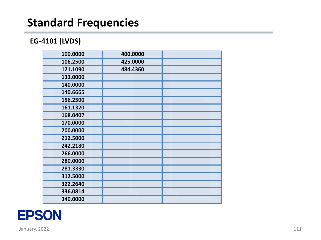#### **EG -4101 (LVDS)**

| 100.0000 | 400.0000 |  |
|----------|----------|--|
| 106.2500 | 425.0000 |  |
| 121.1090 | 484.4360 |  |
| 133.0000 |          |  |
| 140.0000 |          |  |
| 140.6665 |          |  |
| 156.2500 |          |  |
| 161.1320 |          |  |
| 168.0407 |          |  |
| 170.0000 |          |  |
| 200.0000 |          |  |
| 212.5000 |          |  |
| 242.2180 |          |  |
| 266.0000 |          |  |
| 280.0000 |          |  |
| 281.3330 |          |  |
| 312.5000 |          |  |
| 322.2640 |          |  |
| 336.0814 |          |  |
| 340.0000 |          |  |
|          |          |  |

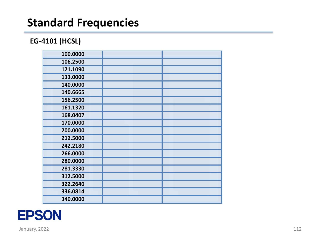#### **EG -4101 (HCSL)**

| 100.0000 |  |
|----------|--|
| 106.2500 |  |
| 121.1090 |  |
| 133.0000 |  |
| 140.0000 |  |
| 140.6665 |  |
| 156.2500 |  |
| 161.1320 |  |
| 168.0407 |  |
| 170.0000 |  |
| 200.0000 |  |
| 212.5000 |  |
| 242.2180 |  |
| 266.0000 |  |
| 280.0000 |  |
| 281.3330 |  |
| 312.5000 |  |
| 322.2640 |  |
| 336.0814 |  |
| 340.0000 |  |
|          |  |

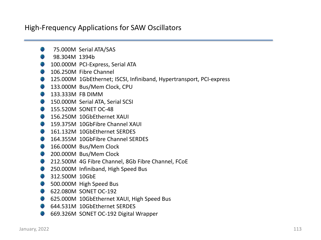#### High-Frequency Applications for SAW Oscillators

- 75.000M Serial ATA/SAS
- 98.304M 1394b
- 100.000M PCI-Express, Serial ATA
- 106.250M Fibre Channel
- **125.000M 1GbEthernet; ISCSI, Infiniband, Hypertransport, PCI-express**
- **133.000M Bus/Mem Clock, CPU**
- **133.333M FB DIMM**
- **150.000M Serial ATA, Serial SCSI**
- **155.520M SONET OC-48**
- **156.250M 10GbEthernet XAUI**
- **159.375M 10GbFibre Channel XAUI**
- **161.132M 10GbEthernet SERDES**
- **164.355M 10GbFibre Channel SERDES**
- 166.000M Bus/Mem Clock
- 200.000M Bus/Mem Clock
- **212.500M 4G Fibre Channel, 8Gb Fibre Channel, FCoE**
- **250.000M Infiniband, High Speed Bus**
- 312.500M 10GbE
- 500.000M High Speed Bus
- 622.080M SONET OC-192
- **625.000M 10GbEthernet XAUI, High Speed Bus**
- **644.531M 10GbEthernet SERDES**
- **669.326M SONET OC-192 Digital Wrapper**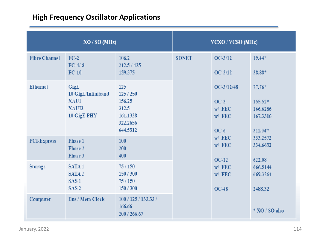#### **High Frequency Oscillator Applications**

| XO / SO (MHz)        |                                                                                | <b>VCXO / VCSO (MHz)</b>                                              |              |                                                                                                                                                                                                                                                                |                    |
|----------------------|--------------------------------------------------------------------------------|-----------------------------------------------------------------------|--------------|----------------------------------------------------------------------------------------------------------------------------------------------------------------------------------------------------------------------------------------------------------------|--------------------|
| <b>Fibre Channel</b> | $FC-2$<br>$FC-4/-8$<br>$FC-10$                                                 | 106.2<br>212.5 / 425<br>159.375                                       | <b>SONET</b> | $OC-3/12$<br>$OC-3/12$                                                                                                                                                                                                                                         | $19.44*$<br>38.88* |
| <b>Ethernet</b>      | GigE<br>10 GigE/Infiniband<br><b>XAUI</b><br>XAUI2<br>10 GigE PHY              | 125<br>125/250<br>156.25<br>312.5<br>161.1328<br>322.2656<br>644.5312 |              | OC-3/12/48<br>$77.76*$<br>$OC-3$<br>$155.52*$<br>$W/$ FEC<br>166.6286<br>W / FEC<br>167.3316<br>$OC-6$<br>$311.04*$<br>$W/$ FEC<br>333.2572<br>$W/$ FEC<br>334.6632<br>$OC-12$<br>622.08<br>$W/$ FEC<br>666.5144<br>$W/$ FEC<br>669.3264<br>$OC-48$<br>2488.32 |                    |
| <b>PCI-Express</b>   | Phase 1<br>Phase 2<br>Phase 3                                                  | 100<br>200<br>400                                                     |              |                                                                                                                                                                                                                                                                |                    |
| Storage              | SATA <sub>1</sub><br>SATA <sub>2</sub><br>SAS <sub>1</sub><br>SAS <sub>2</sub> | 75/150<br>150/300<br>75/150<br>150/300                                |              |                                                                                                                                                                                                                                                                |                    |
| Computer             | <b>Bus / Mem Clock</b>                                                         | 100 / 125 / 133.33 /<br>166.66<br>200 / 266.67                        |              |                                                                                                                                                                                                                                                                | $*$ XO / SO also   |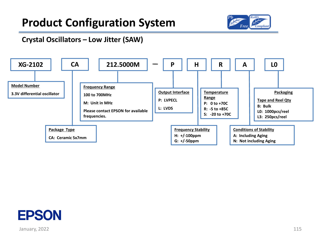

#### **Crystal Oscillators – Low Jitter (SAW)**



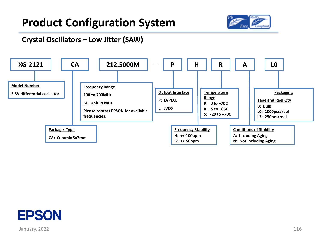

#### **Crystal Oscillators – Low Jitter (SAW)**